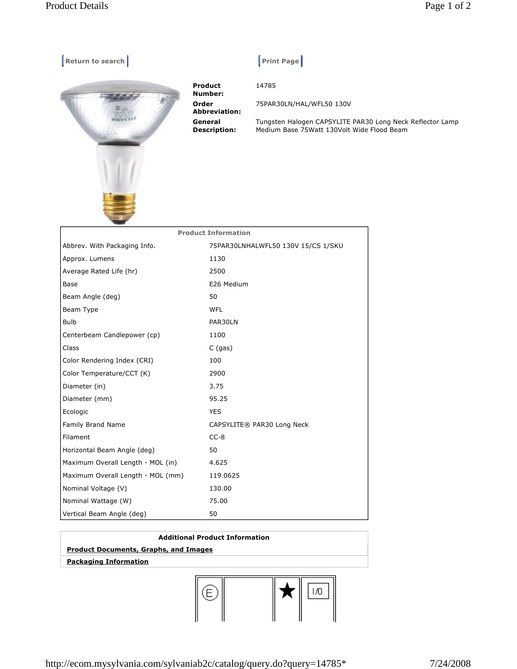

## $\vert$  Print Page  $\vert$

14785

75PAR30LN/HAL/WFL50 130V

Tungsten Halogen CAPSYLITE PAR30 Long Neck Reflector Lamp Medium Base 75Watt 130Volt Wide Flood Beam

| <b>Product Information</b>        |                                    |
|-----------------------------------|------------------------------------|
| Abbrev. With Packaging Info.      | 75PAR30LNHALWFL50 130V 15/CS 1/SKU |
| Approx. Lumens                    | 1130                               |
| Average Rated Life (hr)           | 2500                               |
| Base                              | E26 Medium                         |
| Beam Angle (deg)                  | 50                                 |
| Beam Type                         | <b>WFL</b>                         |
| <b>Bulb</b>                       | PAR30LN                            |
| Centerbeam Candlepower (cp)       | 1100                               |
| Class                             | $C$ (gas)                          |
| Color Rendering Index (CRI)       | 100                                |
| Color Temperature/CCT (K)         | 2900                               |
| Diameter (in)                     | 3.75                               |
| Diameter (mm)                     | 95.25                              |
| Ecologic                          | <b>YES</b>                         |
| Family Brand Name                 | CAPSYLITE® PAR30 Long Neck         |
| Filament                          | $CC-8$                             |
| Horizontal Beam Angle (deg)       | 50                                 |
| Maximum Overall Length - MOL (in) | 4.625                              |
| Maximum Overall Length - MOL (mm) | 119.0625                           |
| Nominal Voltage (V)               | 130.00                             |
| Nominal Wattage (W)               | 75.00                              |
| Vertical Beam Angle (deg)         | 50                                 |
|                                   |                                    |

## **Additional Product Information Product Documents, Graphs, and Images Packaging Information**



http://ecom.mysylvania.com/sylvaniab2c/catalog/query.do?query=14785\* 7/24/2008